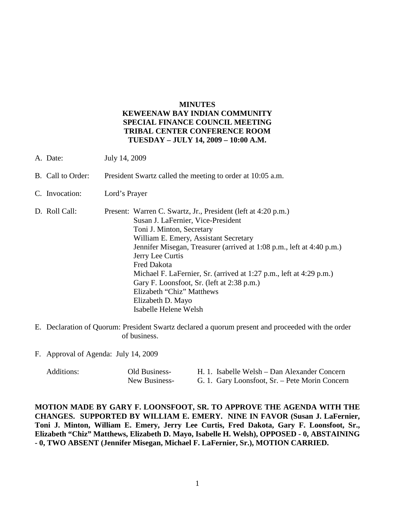## **MINUTES KEWEENAW BAY INDIAN COMMUNITY SPECIAL FINANCE COUNCIL MEETING TRIBAL CENTER CONFERENCE ROOM TUESDAY – JULY 14, 2009 – 10:00 A.M.**

- A. Date: July 14, 2009
- B. Call to Order: President Swartz called the meeting to order at 10:05 a.m.
- C. Invocation: Lord's Prayer
- D. Roll Call: Present: Warren C. Swartz, Jr., President (left at 4:20 p.m.) Susan J. LaFernier, Vice-President Toni J. Minton, Secretary William E. Emery, Assistant Secretary Jennifer Misegan, Treasurer (arrived at 1:08 p.m., left at 4:40 p.m.) Jerry Lee Curtis Fred Dakota Michael F. LaFernier, Sr. (arrived at 1:27 p.m., left at 4:29 p.m.) Gary F. Loonsfoot, Sr. (left at 2:38 p.m.) Elizabeth "Chiz" Matthews Elizabeth D. Mayo Isabelle Helene Welsh
- E. Declaration of Quorum: President Swartz declared a quorum present and proceeded with the order of business.
- F. Approval of Agenda: July 14, 2009

| Additions: | Old Business- | H. 1. Isabelle Welsh – Dan Alexander Concern   |
|------------|---------------|------------------------------------------------|
|            | New Business- | G. 1. Gary Loonsfoot, Sr. – Pete Morin Concern |

**MOTION MADE BY GARY F. LOONSFOOT, SR. TO APPROVE THE AGENDA WITH THE CHANGES. SUPPORTED BY WILLIAM E. EMERY. NINE IN FAVOR (Susan J. LaFernier, Toni J. Minton, William E. Emery, Jerry Lee Curtis, Fred Dakota, Gary F. Loonsfoot, Sr., Elizabeth "Chiz" Matthews, Elizabeth D. Mayo, Isabelle H. Welsh), OPPOSED - 0, ABSTAINING - 0, TWO ABSENT (Jennifer Misegan, Michael F. LaFernier, Sr.), MOTION CARRIED.**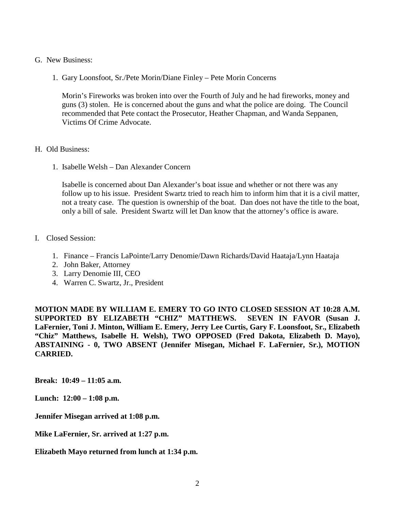- G. New Business:
	- 1. Gary Loonsfoot, Sr./Pete Morin/Diane Finley Pete Morin Concerns

Morin's Fireworks was broken into over the Fourth of July and he had fireworks, money and guns (3) stolen. He is concerned about the guns and what the police are doing. The Council recommended that Pete contact the Prosecutor, Heather Chapman, and Wanda Seppanen, Victims Of Crime Advocate.

- H. Old Business:
	- 1. Isabelle Welsh Dan Alexander Concern

Isabelle is concerned about Dan Alexander's boat issue and whether or not there was any follow up to his issue. President Swartz tried to reach him to inform him that it is a civil matter, not a treaty case. The question is ownership of the boat. Dan does not have the title to the boat, only a bill of sale. President Swartz will let Dan know that the attorney's office is aware.

- I. Closed Session:
	- 1. Finance Francis LaPointe/Larry Denomie/Dawn Richards/David Haataja/Lynn Haataja
	- 2. John Baker, Attorney
	- 3. Larry Denomie III, CEO
	- 4. Warren C. Swartz, Jr., President

**MOTION MADE BY WILLIAM E. EMERY TO GO INTO CLOSED SESSION AT 10:28 A.M. SUPPORTED BY ELIZABETH "CHIZ" MATTHEWS. SEVEN IN FAVOR (Susan J. LaFernier, Toni J. Minton, William E. Emery, Jerry Lee Curtis, Gary F. Loonsfoot, Sr., Elizabeth "Chiz" Matthews, Isabelle H. Welsh), TWO OPPOSED (Fred Dakota, Elizabeth D. Mayo), ABSTAINING - 0, TWO ABSENT (Jennifer Misegan, Michael F. LaFernier, Sr.), MOTION CARRIED.**

**Break: 10:49 – 11:05 a.m.**

**Lunch: 12:00 – 1:08 p.m.**

**Jennifer Misegan arrived at 1:08 p.m.**

**Mike LaFernier, Sr. arrived at 1:27 p.m.**

**Elizabeth Mayo returned from lunch at 1:34 p.m.**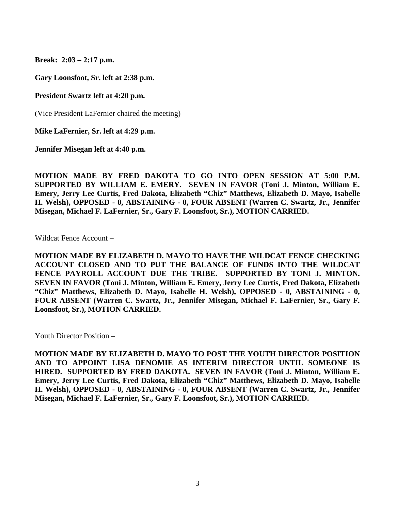**Break: 2:03 – 2:17 p.m.**

**Gary Loonsfoot, Sr. left at 2:38 p.m.**

**President Swartz left at 4:20 p.m.**

(Vice President LaFernier chaired the meeting)

**Mike LaFernier, Sr. left at 4:29 p.m.**

**Jennifer Misegan left at 4:40 p.m.**

**MOTION MADE BY FRED DAKOTA TO GO INTO OPEN SESSION AT 5:00 P.M. SUPPORTED BY WILLIAM E. EMERY. SEVEN IN FAVOR (Toni J. Minton, William E. Emery, Jerry Lee Curtis, Fred Dakota, Elizabeth "Chiz" Matthews, Elizabeth D. Mayo, Isabelle H. Welsh), OPPOSED - 0, ABSTAINING - 0, FOUR ABSENT (Warren C. Swartz, Jr., Jennifer Misegan, Michael F. LaFernier, Sr., Gary F. Loonsfoot, Sr.), MOTION CARRIED.**

Wildcat Fence Account –

**MOTION MADE BY ELIZABETH D. MAYO TO HAVE THE WILDCAT FENCE CHECKING ACCOUNT CLOSED AND TO PUT THE BALANCE OF FUNDS INTO THE WILDCAT FENCE PAYROLL ACCOUNT DUE THE TRIBE. SUPPORTED BY TONI J. MINTON. SEVEN IN FAVOR (Toni J. Minton, William E. Emery, Jerry Lee Curtis, Fred Dakota, Elizabeth "Chiz" Matthews, Elizabeth D. Mayo, Isabelle H. Welsh), OPPOSED - 0, ABSTAINING - 0, FOUR ABSENT (Warren C. Swartz, Jr., Jennifer Misegan, Michael F. LaFernier, Sr., Gary F. Loonsfoot, Sr.), MOTION CARRIED.**

Youth Director Position –

**MOTION MADE BY ELIZABETH D. MAYO TO POST THE YOUTH DIRECTOR POSITION AND TO APPOINT LISA DENOMIE AS INTERIM DIRECTOR UNTIL SOMEONE IS HIRED. SUPPORTED BY FRED DAKOTA. SEVEN IN FAVOR (Toni J. Minton, William E. Emery, Jerry Lee Curtis, Fred Dakota, Elizabeth "Chiz" Matthews, Elizabeth D. Mayo, Isabelle H. Welsh), OPPOSED - 0, ABSTAINING - 0, FOUR ABSENT (Warren C. Swartz, Jr., Jennifer Misegan, Michael F. LaFernier, Sr., Gary F. Loonsfoot, Sr.), MOTION CARRIED.**